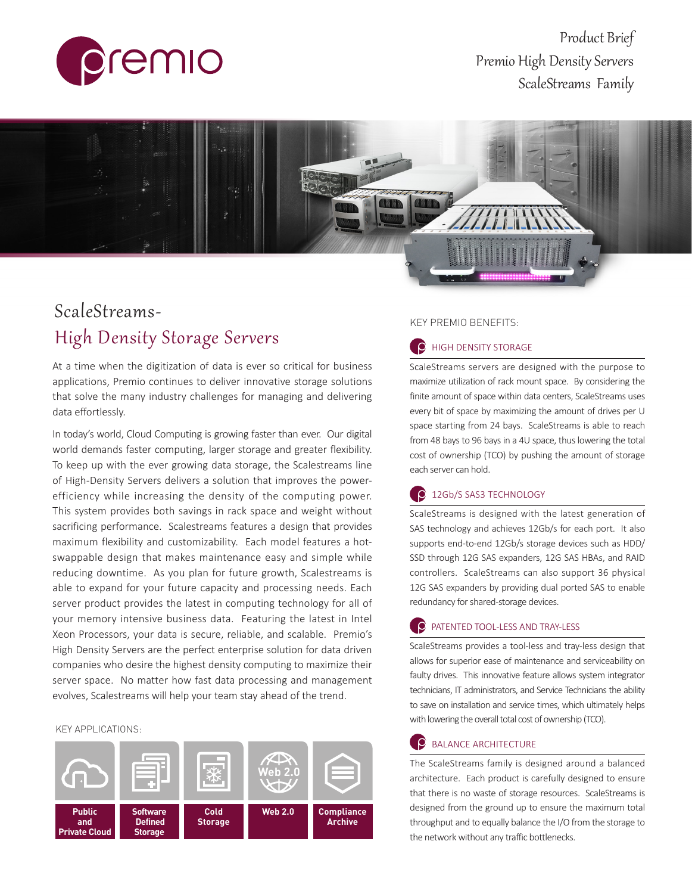



# ScaleStreams-High Density Storage Servers

At a time when the digitization of data is ever so critical for business applications, Premio continues to deliver innovative storage solutions that solve the many industry challenges for managing and delivering data effortlessly.

In today's world, Cloud Computing is growing faster than ever. Our digital world demands faster computing, larger storage and greater flexibility. To keep up with the ever growing data storage, the Scalestreams line of High-Density Servers delivers a solution that improves the powerefficiency while increasing the density of the computing power. This system provides both savings in rack space and weight without sacrificing performance. Scalestreams features a design that provides maximum flexibility and customizability. Each model features a hotswappable design that makes maintenance easy and simple while reducing downtime. As you plan for future growth, Scalestreams is able to expand for your future capacity and processing needs. Each server product provides the latest in computing technology for all of your memory intensive business data. Featuring the latest in Intel Xeon Processors, your data is secure, reliable, and scalable. Premio's High Density Servers are the perfect enterprise solution for data driven companies who desire the highest density computing to maximize their server space. No matter how fast data processing and management evolves, Scalestreams will help your team stay ahead of the trend.

#### KEY APPLICATIONS:



#### KEY PREMIO BENEFITS:

# **C** HIGH DENSITY STORAGE

ScaleStreams servers are designed with the purpose to maximize utilization of rack mount space. By considering the finite amount of space within data centers, ScaleStreams uses every bit of space by maximizing the amount of drives per U space starting from 24 bays. ScaleStreams is able to reach from 48 bays to 96 bays in a 4U space, thus lowering the total cost of ownership (TCO) by pushing the amount of storage each server can hold.

# <sup>2</sup> 12Gb/S SAS3 TECHNOLOGY

ScaleStreams is designed with the latest generation of SAS technology and achieves 12Gb/s for each port. It also supports end-to-end 12Gb/s storage devices such as HDD/ SSD through 12G SAS expanders, 12G SAS HBAs, and RAID controllers. ScaleStreams can also support 36 physical 12G SAS expanders by providing dual ported SAS to enable redundancy for shared-storage devices.

### **PATENTED TOOL-LESS AND TRAY-LESS**

ScaleStreams provides a tool-less and tray-less design that allows for superior ease of maintenance and serviceability on faulty drives. This innovative feature allows system integrator technicians, IT administrators, and Service Technicians the ability to save on installation and service times, which ultimately helps with lowering the overall total cost of ownership (TCO).

# BALANCE ARCHITECTURE

The ScaleStreams family is designed around a balanced architecture. Each product is carefully designed to ensure that there is no waste of storage resources. ScaleStreams is designed from the ground up to ensure the maximum total throughput and to equally balance the I/O from the storage to the network without any traffic bottlenecks.